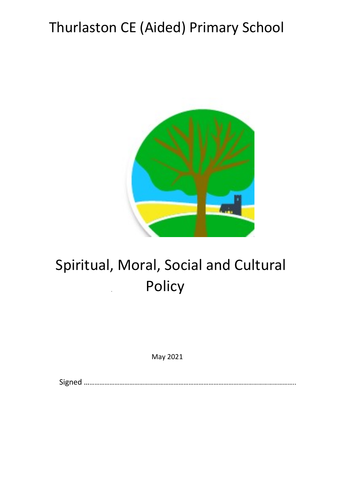# Thurlaston CE (Aided) Primary School



# Spiritual, Moral, Social and Cultural **Policy**

May 2021

Signed ………………………………………………………………………………………………………………..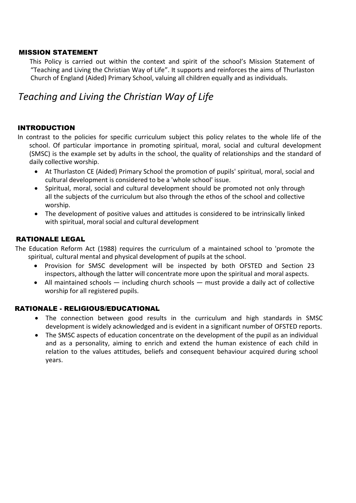#### MISSION STATEMENT

 This Policy is carried out within the context and spirit of the school's Mission Statement of "Teaching and Living the Christian Way of Life". It supports and reinforces the aims of Thurlaston Church of England (Aided) Primary School, valuing all children equally and as individuals.

# Teaching and Living the Christian Way of Life

#### INTRODUCTION

In contrast to the policies for specific curriculum subject this policy relates to the whole life of the school. Of particular importance in promoting spiritual, moral, social and cultural development (SMSC) is the example set by adults in the school, the quality of relationships and the standard of daily collective worship.

- At Thurlaston CE (Aided) Primary School the promotion of pupils' spiritual, moral, social and cultural development is considered to be a 'whole school' issue.
- Spiritual, moral, social and cultural development should be promoted not only through all the subjects of the curriculum but also through the ethos of the school and collective worship.
- The development of positive values and attitudes is considered to be intrinsically linked with spiritual, moral social and cultural development

#### RATIONALE LEGAL

The Education Reform Act (1988) requires the curriculum of a maintained school to 'promote the spiritual, cultural mental and physical development of pupils at the school.

- Provision for SMSC development will be inspected by both OFSTED and Section 23 inspectors, although the latter will concentrate more upon the spiritual and moral aspects.
- All maintained schools including church schools must provide a daily act of collective worship for all registered pupils.

#### RATIONALE - RELIGIOUS/EDUCATIONAL

- The connection between good results in the curriculum and high standards in SMSC development is widely acknowledged and is evident in a significant number of OFSTED reports.
- The SMSC aspects of education concentrate on the development of the pupil as an individual and as a personality, aiming to enrich and extend the human existence of each child in relation to the values attitudes, beliefs and consequent behaviour acquired during school years.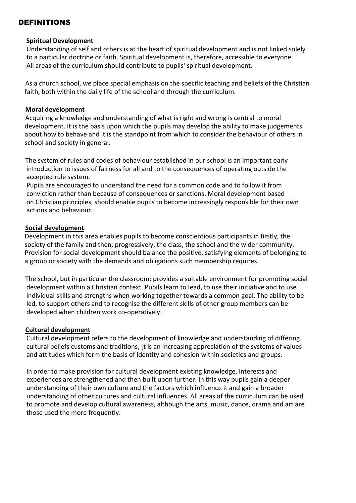### DEFINITIONS

#### Spiritual Development

 Understanding of self and others is at the heart of spiritual development and is not linked solely to a particular doctrine or faith. Spiritual development is, therefore, accessible to everyone. All areas of the curriculum should contribute to pupils' spiritual development.

 As a church school, we place special emphasis on the specific teaching and beliefs of the Christian faith, both within the daily life of the school and through the curriculum.

#### Moral development

 Acquiring a knowledge and understanding of what is right and wrong is central to moral development. It is the basis upon which the pupils may develop the ability to make judgements about how to behave and it is the standpoint from which to consider the behaviour of others in school and society in general.

 The system of rules and codes of behaviour established in our school is an important early introduction to issues of fairness for all and to the consequences of operating outside the accepted rule system.

 Pupils are encouraged to understand the need for a common code and to follow it from conviction rather than because of consequences or sanctions. Moral development based on Christian principles, should enable pupils to become increasingly responsible for their own actions and behaviour.

#### Social development

 Development in this area enables pupils to become conscientious participants in firstly, the society of the family and then, progressively, the class, the school and the wider community. Provision for social development should balance the positive, satisfying elements of belonging to a group or society with the demands and obligations such membership requires.

 The school, but in particular the classroom: provides a suitable environment for promoting social development within a Christian context. Pupils learn to lead, to use their initiative and to use individual skills and strengths when working together towards a common goal. The ability to be led, to support others and to recognise the different skills of other group members can be developed when children work co-operatively.

#### Cultural development

 Cultural development refers to the development of knowledge and understanding of differing cultural beliefs customs and traditions, [t is an increasing appreciation of the systems of values and attitudes which form the basis of identity and cohesion within societies and groups.

 In order to make provision for cultural development existing knowledge, interests and experiences are strengthened and then built upon further. In this way pupils gain a deeper understanding of their own culture and the factors which influence it and gain a broader understanding of other cultures and cultural influences. All areas of the curriculum can be used to promote and develop cultural awareness, although the arts, music, dance, drama and art are those used the more frequently.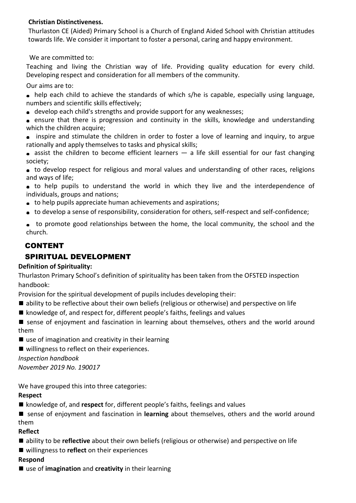#### Christian Distinctiveness.

Thurlaston CE (Aided) Primary School is a Church of England Aided School with Christian attitudes towards life. We consider it important to foster a personal, caring and happy environment.

We are committed to:

Teaching and living the Christian way of life. Providing quality education for every child. Developing respect and consideration for all members of the community.

Our aims are to:

- help each child to achieve the standards of which s/he is capable, especially using language, numbers and scientific skills effectively;
- develop each child's strengths and provide support for any weaknesses;
- ensure that there is progression and continuity in the skills, knowledge and understanding which the children acquire;
- inspire and stimulate the children in order to foster a love of learning and inquiry, to argue rationally and apply themselves to tasks and physical skills;
- $\bullet$  assist the children to become efficient learners  $-$  a life skill essential for our fast changing society;

to develop respect for religious and moral values and understanding of other races, religions and ways of life;

to help pupils to understand the world in which they live and the interdependence of individuals, groups and nations;

- to help pupils appreciate human achievements and aspirations;
- to develop a sense of responsibility, consideration for others, self-respect and self-confidence;
- to promote good relationships between the home, the local community, the school and the church.

# CONTENT

# SPIRITUAL DEVELOPMENT

#### Definition of Spirituality:

Thurlaston Primary School's definition of spirituality has been taken from the OFSTED inspection handbook:

Provision for the spiritual development of pupils includes developing their:

- ability to be reflective about their own beliefs (religious or otherwise) and perspective on life
- knowledge of, and respect for, different people's faiths, feelings and values
- sense of enjoyment and fascination in learning about themselves, others and the world around them
- $\blacksquare$  use of imagination and creativity in their learning
- willingness to reflect on their experiences.

Inspection handbook

November 2019 No. 190017

We have grouped this into three categories:

#### Respect

- knowledge of, and respect for, different people's faiths, feelings and values
- sense of enjoyment and fascination in learning about themselves, others and the world around them

#### Reflect

- ability to be reflective about their own beliefs (religious or otherwise) and perspective on life
- willingness to reflect on their experiences

#### Respond

 $\blacksquare$  use of imagination and creativity in their learning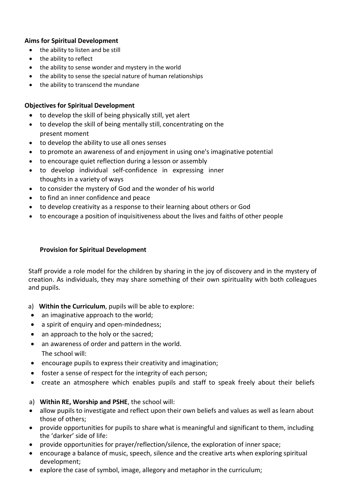#### Aims for Spiritual Development

- the ability to listen and be still
- the ability to reflect
- the ability to sense wonder and mystery in the world
- the ability to sense the special nature of human relationships
- the ability to transcend the mundane

### Objectives for Spiritual Development

- to develop the skill of being physically still, yet alert
- to develop the skill of being mentally still, concentrating on the present moment
- to develop the ability to use all ones senses
- to promote an awareness of and enjoyment in using one's imaginative potential
- to encourage quiet reflection during a lesson or assembly
- to develop individual self-confidence in expressing inner thoughts in a variety of ways
- to consider the mystery of God and the wonder of his world
- to find an inner confidence and peace
- to develop creativity as a response to their learning about others or God
- to encourage a position of inquisitiveness about the lives and faiths of other people

### Provision for Spiritual Development

Staff provide a role model for the children by sharing in the joy of discovery and in the mystery of creation. As individuals, they may share something of their own spirituality with both colleagues and pupils.

- a) Within the Curriculum, pupils will be able to explore:
- an imaginative approach to the world;
- a spirit of enquiry and open-mindedness;
- an approach to the holy or the sacred;
- an awareness of order and pattern in the world. The school will:
- encourage pupils to express their creativity and imagination;
- foster a sense of respect for the integrity of each person;
- create an atmosphere which enables pupils and staff to speak freely about their beliefs

# a) Within RE, Worship and PSHE, the school will:

- allow pupils to investigate and reflect upon their own beliefs and values as well as learn about those of others;
- provide opportunities for pupils to share what is meaningful and significant to them, including the 'darker' side of life:
- provide opportunities for prayer/reflection/silence, the exploration of inner space;
- encourage a balance of music, speech, silence and the creative arts when exploring spiritual development;
- explore the case of symbol, image, allegory and metaphor in the curriculum;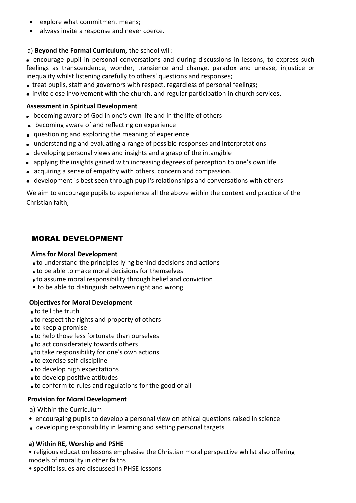- explore what commitment means;
- always invite a response and never coerce.

#### a) Beyond the Formal Curriculum, the school will:

 encourage pupil in personal conversations and during discussions in lessons, to express such feelings as transcendence, wonder, transience and change, paradox and unease, injustice or inequality whilst listening carefully to others' questions and responses;

- treat pupils, staff and governors with respect, regardless of personal feelings;
- invite close involvement with the church, and regular participation in church services.

#### Assessment in Spiritual Development

- becoming aware of God in one's own Iife and in the life of others
- **•** becoming aware of and reflecting on experience
- questioning and exploring the meaning of experience
- understanding and evaluating a range of possible responses and interpretations
- developing personal views and insights and a grasp of the intangible
- applying the insights gained with increasing degrees of perception to one's own life
- acquiring a sense of empathy with others, concern and compassion.
- development is best seen through pupil's relationships and conversations with others

We aim to encourage pupils to experience all the above within the context and practice of the Christian faith,

# MORAL DEVELOPMENT

#### Aims for Moral Development

- to understand the principles lying behind decisions and actions
- to be able to make moral decisions for themselves
- to assume moral responsibility through belief and conviction
- to be able to distinguish between right and wrong

#### Objectives for Moral Development

- to tell the truth
- to respect the rights and property of others
- **a** to keep a promise
- to help those less fortunate than ourselves
- to act considerately towards others
- to take responsibility for one's own actions
- to exercise self-discipline
- to develop high expectations
- to develop positive attitudes
- to conform to rules and regulations for the good of all

#### Provision for Moral Development

a) Within the Curriculum

- encouraging pupils to develop a personal view on ethical questions raised in science
- developing responsibility in learning and setting personal targets

#### a) Within RE, Worship and PSHE

• religious education lessons emphasise the Christian moral perspective whilst also offering models of morality in other faiths

• specific issues are discussed in PHSE lessons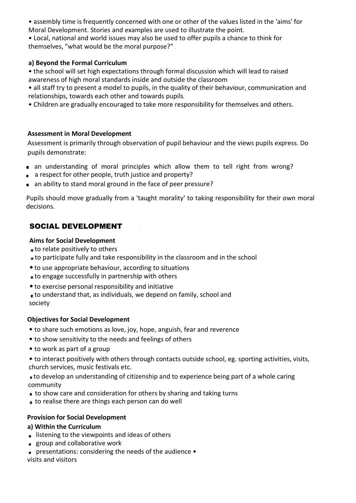• assembly time is frequently concerned with one or other of the values listed in the 'aims' for Moral Development. Stories and examples are used to illustrate the point.

• Local, national and world issues may also be used to offer pupils a chance to think for themselves, "what would be the moral purpose?"

#### a) Beyond the Formal Curriculum

• the school will set high expectations through formal discussion which will lead to raised awareness of high moral standards inside and outside the classroom

- all staff try to present a model to pupils, in the quality of their behaviour, communication and relationships, towards each other and towards pupils
- Children are gradually encouraged to take more responsibility for themselves and others.

### Assessment in Moral Development

 Assessment is primarily through observation of pupil behaviour and the views pupils express. Do pupils demonstrate:

- an understanding of moral principles which allow them to tell right from wrong?
- a respect for other people, truth justice and property?
- an ability to stand moral ground in the face of peer pressure?

Pupils should move gradually from a 'taught morality' to taking responsibility for their own moral decisions.

# SOCIAL DEVELOPMENT

### Aims for Social Development

- to relate positively to others
- to participate fully and take responsibility in the classroom and in the school
- •to use appropriate behaviour, according to situations
- to engage successfully in partnership with others
- •to exercise personal responsibility and initiative
- to understand that, as individuals, we depend on family, school and society

# Objectives for Social Development

- to share such emotions as love, joy, hope, anguish, fear and reverence
- to show sensitivity to the needs and feelings of others
- to work as part of a group
- to interact positively with others through contacts outside school, eg. sporting activities, visits, church services, music festivals etc.

 to develop an understanding of citizenship and to experience being part of a whole caring community

- to show care and consideration for others by sharing and taking turns
- to realise there are things each person can do well

# Provision for Social Development

#### a) Within the Curriculum

- **.** listening to the viewpoints and ideas of others
- group and collaborative work
- presentations: considering the needs of the audience visits and visitors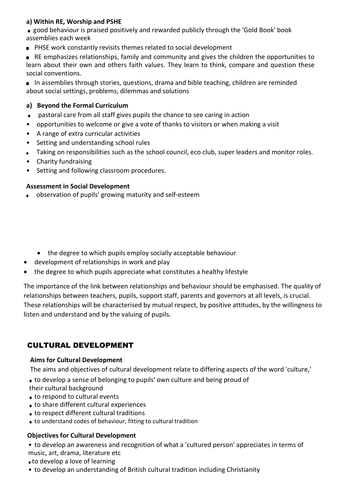### a) Within RE, Worship and PSHE

 good behaviour is praised positively and rewarded publicly through the 'Gold Book' book assemblies each week

PHSE work constantly revisits themes related to social development

**RE emphasizes relationships, family and community and gives the children the opportunities to** learn about their own and others faith values. They learn to think, compare and question these social conventions.

In assemblies through stories, questions, drama and bible teaching, children are reminded about social settings, problems, dilemmas and solutions

#### a) Beyond the Formal Curriculum

- pastoral care from all staff gives pupils the chance to see caring in action
- opportunities to welcome or give a vote of thanks to visitors or when making a visit
- A range of extra curricular activities
- Setting and understanding school rules
- Taking on responsibilities such as the school council, eco club, super leaders and monitor roles.
- Charity fundraising
- Setting and following classroom procedures.

#### Assessment in Social Development

- observation of pupils' growing maturity and self-esteem
	- the degree to which pupils employ socially acceptable behaviour
- development of relationships in work and play
- the degree to which pupils appreciate what constitutes a healthy lifestyle

The importance of the link between relationships and behaviour should be emphasised. The quality of relationships between teachers, pupils, support staff, parents and governors at all levels, is crucial. These relationships will be characterised by mutual respect, by positive attitudes, by the willingness to listen and understand and by the valuing of pupils.

# CULTURAL DEVELOPMENT

#### Aims for Cultural Development

The aims and objectives of cultural development relate to differing aspects of the word 'culture,'

- to develop a sense of belonging to pupils' own culture and being proud of
- their cultural background
- **to respond to cultural events**
- to share different cultural experiences
- to respect different cultural traditions
- to understand codes of behaviour, fitting to cultural tradition

#### Objectives for Cultural Development

• to develop an awareness and recognition of what a 'cultured person' appreciates in terms of music, art, drama, literature etc

- to develop a love of learning
- to develop an understanding of British cultural tradition including Christianity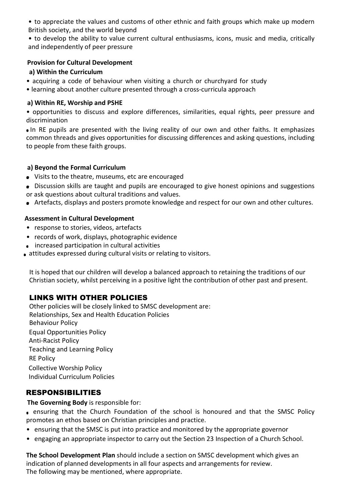• to appreciate the values and customs of other ethnic and faith groups which make up modern British society, and the world beyond

• to develop the ability to value current cultural enthusiasms, icons, music and media, critically and independently of peer pressure

#### Provision for Cultural Development

#### a) Within the Curriculum

- acquiring a code of behaviour when visiting a church or churchyard for study
- learning about another culture presented through a cross-curricula approach

#### a) Within RE, Worship and PSHE

• opportunities to discuss and explore differences, similarities, equal rights, peer pressure and discrimination

 In RE pupils are presented with the living reality of our own and other faiths. It emphasizes common threads and gives opportunities for discussing differences and asking questions, including to people from these faith groups.

#### a) Beyond the Formal Curriculum

- Visits to the theatre, museums, etc are encouraged
- Discussion skills are taught and pupils are encouraged to give honest opinions and suggestions or ask questions about cultural traditions and values.
- Artefacts, displays and posters promote knowledge and respect for our own and other cultures.

#### Assessment in Cultural Development

- response to stories, videos, artefacts
- records of work, displays, photographic evidence
- increased participation in cultural activities
- attitudes expressed during cultural visits or relating to visitors.

It is hoped that our children will develop a balanced approach to retaining the traditions of our Christian society, whilst perceiving in a positive light the contribution of other past and present.

# LINKS WITH OTHER POLICIES

Other policies will be closely linked to SMSC development are: Relationships, Sex and Health Education Policies Behaviour Policy Equal Opportunities Policy Anti-Racist Policy Teaching and Learning Policy RE Policy Collective Worship Policy Individual Curriculum Policies

# RESPONSIBILITIES

The Governing Body is responsible for:

 ensuring that the Church Foundation of the school is honoured and that the SMSC Policy promotes an ethos based on Christian principles and practice.

- ensuring that the SMSC is put into practice and monitored by the appropriate governor
- engaging an appropriate inspector to carry out the Section 23 Inspection of a Church School.

The School Development Plan should include a section on SMSC development which gives an indication of planned developments in all four aspects and arrangements for review. The following may be mentioned, where appropriate.